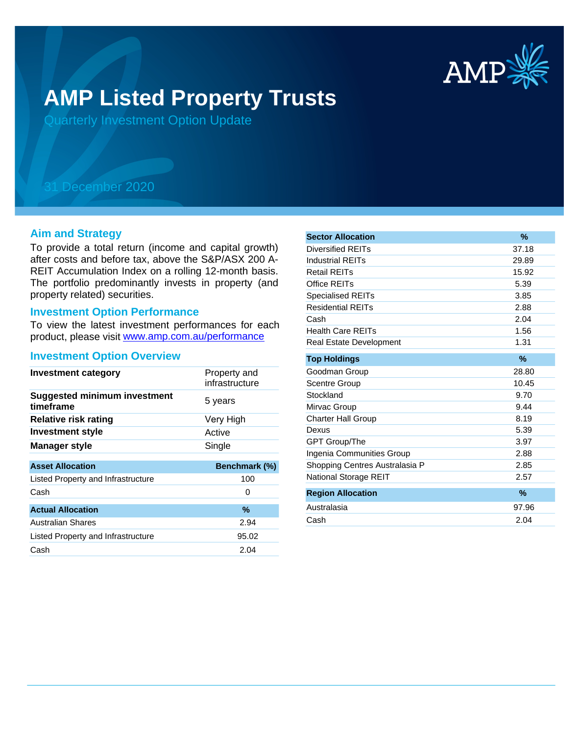

# **AMP Listed Property Trusts**

Quarterly Investment Option Update

## 31 December 2020

#### **Aim and Strategy**

To provide a total return (income and capital growth) after costs and before tax, above the S&P/ASX 200 A-REIT Accumulation Index on a rolling 12-month basis. The portfolio predominantly invests in property (and property related) securities.

#### **Investment Option Performance**

product, please visit www.amp.com.au/performance To view the latest investment performances for each

#### **Investment Option Overview**

| <b>Investment category</b>                       | Property and<br>infrastructure |
|--------------------------------------------------|--------------------------------|
| <b>Suggested minimum investment</b><br>timeframe | 5 years                        |
| <b>Relative risk rating</b>                      | Very High                      |
| <b>Investment style</b>                          | Active                         |
| Manager style                                    | Single                         |
| <b>Asset Allocation</b>                          | Benchmark (%)                  |
| Listed Property and Infrastructure               | 100                            |
| Cash                                             | 0                              |
| <b>Actual Allocation</b>                         | $\%$                           |
| Australian Shares                                | 2.94                           |
| Listed Property and Infrastructure               | 95.02                          |
| Cash                                             |                                |
|                                                  | 2.04                           |

| <b>Sector Allocation</b>       | $\%$  |
|--------------------------------|-------|
| Diversified REITs              | 37.18 |
| Industrial REITs               | 29.89 |
| <b>Retail REITs</b>            | 15.92 |
| Office REITs                   | 5.39  |
| <b>Specialised REITs</b>       | 3.85  |
| <b>Residential REITs</b>       | 2.88  |
| Cash                           | 2.04  |
| <b>Health Care REITs</b>       | 1.56  |
| <b>Real Estate Development</b> | 1.31  |
| <b>Top Holdings</b>            | %     |
| Goodman Group                  | 28.80 |
| <b>Scentre Group</b>           | 10.45 |
| Stockland                      | 9.70  |
| Mirvac Group                   | 9.44  |
| <b>Charter Hall Group</b>      | 8.19  |
| Dexus                          | 5.39  |
| <b>GPT Group/The</b>           | 3.97  |
| Ingenia Communities Group      | 2.88  |
| Shopping Centres Australasia P | 2.85  |
| National Storage REIT          | 2.57  |
| <b>Region Allocation</b>       | $\%$  |
| Australasia                    | 97.96 |
| Cash                           | 2.04  |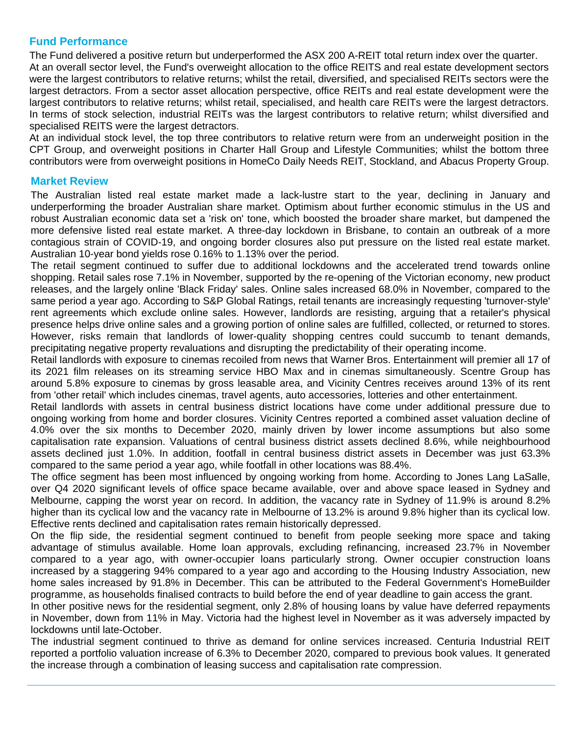### **Fund Performance**

The Fund delivered a positive return but underperformed the ASX 200 A-REIT total return index over the quarter. At an overall sector level, the Fund's overweight allocation to the office REITS and real estate development sectors were the largest contributors to relative returns; whilst the retail, diversified, and specialised REITs sectors were the largest detractors. From a sector asset allocation perspective, office REITs and real estate development were the largest contributors to relative returns; whilst retail, specialised, and health care REITs were the largest detractors. In terms of stock selection, industrial REITs was the largest contributors to relative return; whilst diversified and specialised REITS were the largest detractors.

At an individual stock level, the top three contributors to relative return were from an underweight position in the CPT Group, and overweight positions in Charter Hall Group and Lifestyle Communities; whilst the bottom three contributors were from overweight positions in HomeCo Daily Needs REIT, Stockland, and Abacus Property Group.

#### **Market Review**

The Australian listed real estate market made a lack-lustre start to the year, declining in January and underperforming the broader Australian share market. Optimism about further economic stimulus in the US and robust Australian economic data set a 'risk on' tone, which boosted the broader share market, but dampened the more defensive listed real estate market. A three-day lockdown in Brisbane, to contain an outbreak of a more contagious strain of COVID-19, and ongoing border closures also put pressure on the listed real estate market. Australian 10-year bond yields rose 0.16% to 1.13% over the period.

The retail segment continued to suffer due to additional lockdowns and the accelerated trend towards online shopping. Retail sales rose 7.1% in November, supported by the re-opening of the Victorian economy, new product releases, and the largely online 'Black Friday' sales. Online sales increased 68.0% in November, compared to the same period a year ago. According to S&P Global Ratings, retail tenants are increasingly requesting 'turnover-style' rent agreements which exclude online sales. However, landlords are resisting, arguing that a retailer's physical presence helps drive online sales and a growing portion of online sales are fulfilled, collected, or returned to stores. However, risks remain that landlords of lower-quality shopping centres could succumb to tenant demands, precipitating negative property revaluations and disrupting the predictability of their operating income.

Retail landlords with exposure to cinemas recoiled from news that Warner Bros. Entertainment will premier all 17 of its 2021 film releases on its streaming service HBO Max and in cinemas simultaneously. Scentre Group has around 5.8% exposure to cinemas by gross leasable area, and Vicinity Centres receives around 13% of its rent from 'other retail' which includes cinemas, travel agents, auto accessories, lotteries and other entertainment.

Retail landlords with assets in central business district locations have come under additional pressure due to ongoing working from home and border closures. Vicinity Centres reported a combined asset valuation decline of 4.0% over the six months to December 2020, mainly driven by lower income assumptions but also some capitalisation rate expansion. Valuations of central business district assets declined 8.6%, while neighbourhood assets declined just 1.0%. In addition, footfall in central business district assets in December was just 63.3% compared to the same period a year ago, while footfall in other locations was 88.4%.

The office segment has been most influenced by ongoing working from home. According to Jones Lang LaSalle, over Q4 2020 significant levels of office space became available, over and above space leased in Sydney and Melbourne, capping the worst year on record. In addition, the vacancy rate in Sydney of 11.9% is around 8.2% higher than its cyclical low and the vacancy rate in Melbourne of 13.2% is around 9.8% higher than its cyclical low. Effective rents declined and capitalisation rates remain historically depressed.

On the flip side, the residential segment continued to benefit from people seeking more space and taking advantage of stimulus available. Home loan approvals, excluding refinancing, increased 23.7% in November compared to a year ago, with owner-occupier loans particularly strong. Owner occupier construction loans increased by a staggering 94% compared to a year ago and according to the Housing Industry Association, new home sales increased by 91.8% in December. This can be attributed to the Federal Government's HomeBuilder programme, as households finalised contracts to build before the end of year deadline to gain access the grant.

In other positive news for the residential segment, only 2.8% of housing loans by value have deferred repayments in November, down from 11% in May. Victoria had the highest level in November as it was adversely impacted by lockdowns until late-October.

The industrial segment continued to thrive as demand for online services increased. Centuria Industrial REIT reported a portfolio valuation increase of 6.3% to December 2020, compared to previous book values. It generated the increase through a combination of leasing success and capitalisation rate compression.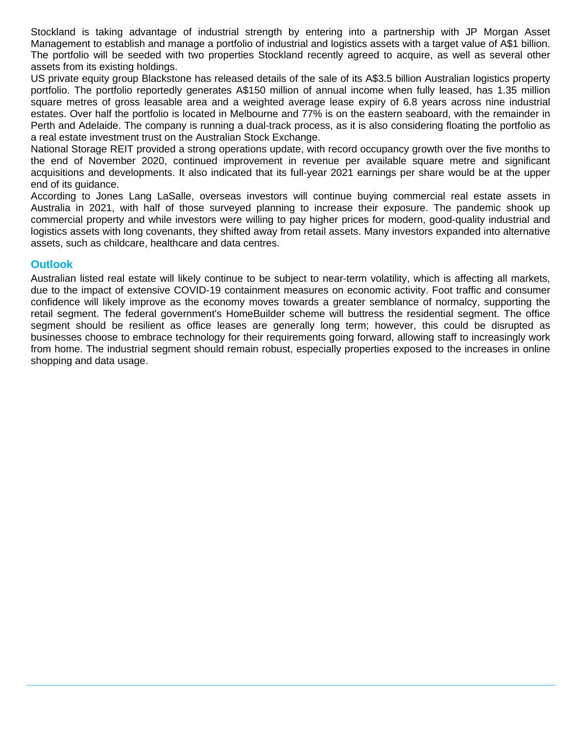Stockland is taking advantage of industrial strength by entering into a partnership with JP Morgan Asset Management to establish and manage a portfolio of industrial and logistics assets with a target value of A\$1 billion. The portfolio will be seeded with two properties Stockland recently agreed to acquire, as well as several other assets from its existing holdings.

US private equity group Blackstone has released details of the sale of its A\$3.5 billion Australian logistics property portfolio. The portfolio reportedly generates A\$150 million of annual income when fully leased, has 1.35 million square metres of gross leasable area and a weighted average lease expiry of 6.8 years across nine industrial estates. Over half the portfolio is located in Melbourne and 77% is on the eastern seaboard, with the remainder in Perth and Adelaide. The company is running a dual-track process, as it is also considering floating the portfolio as a real estate investment trust on the Australian Stock Exchange.

National Storage REIT provided a strong operations update, with record occupancy growth over the five months to the end of November 2020, continued improvement in revenue per available square metre and significant acquisitions and developments. It also indicated that its full-year 2021 earnings per share would be at the upper end of its guidance.

According to Jones Lang LaSalle, overseas investors will continue buying commercial real estate assets in Australia in 2021, with half of those surveyed planning to increase their exposure. The pandemic shook up commercial property and while investors were willing to pay higher prices for modern, good-quality industrial and logistics assets with long covenants, they shifted away from retail assets. Many investors expanded into alternative assets, such as childcare, healthcare and data centres.

#### **Outlook**

Australian listed real estate will likely continue to be subject to near-term volatility, which is affecting all markets, due to the impact of extensive COVID-19 containment measures on economic activity. Foot traffic and consumer confidence will likely improve as the economy moves towards a greater semblance of normalcy, supporting the retail segment. The federal government's HomeBuilder scheme will buttress the residential segment. The office segment should be resilient as office leases are generally long term; however, this could be disrupted as businesses choose to embrace technology for their requirements going forward, allowing staff to increasingly work from home. The industrial segment should remain robust, especially properties exposed to the increases in online shopping and data usage.